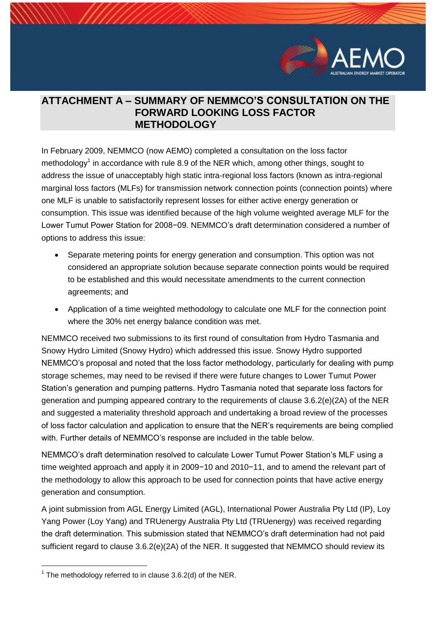

## **ATTACHMENT A – SUMMARY OF NEMMCO'S CONSULTATION ON THE FORWARD LOOKING LOSS FACTOR METHODOLOGY**

In February 2009, NEMMCO (now AEMO) completed a consultation on the loss factor methodology<sup>1</sup> in accordance with rule 8.9 of the NER which, among other things, sought to address the issue of unacceptably high static intra-regional loss factors (known as intra-regional marginal loss factors (MLFs) for transmission network connection points (connection points) where one MLF is unable to satisfactorily represent losses for either active energy generation or consumption. This issue was identified because of the high volume weighted average MLF for the Lower Tumut Power Station for 2008−09. NEMMCO's draft determination considered a number of options to address this issue:

- Separate metering points for energy generation and consumption. This option was not considered an appropriate solution because separate connection points would be required to be established and this would necessitate amendments to the current connection agreements; and
- Application of a time weighted methodology to calculate one MLF for the connection point where the 30% net energy balance condition was met.

NEMMCO received two submissions to its first round of consultation from Hydro Tasmania and Snowy Hydro Limited (Snowy Hydro) which addressed this issue. Snowy Hydro supported NEMMCO's proposal and noted that the loss factor methodology, particularly for dealing with pump storage schemes, may need to be revised if there were future changes to Lower Tumut Power Station's generation and pumping patterns. Hydro Tasmania noted that separate loss factors for generation and pumping appeared contrary to the requirements of clause 3.6.2(e)(2A) of the NER and suggested a materiality threshold approach and undertaking a broad review of the processes of loss factor calculation and application to ensure that the NER's requirements are being complied with. Further details of NEMMCO's response are included in the table below.

NEMMCO's draft determination resolved to calculate Lower Tumut Power Station's MLF using a time weighted approach and apply it in 2009−10 and 2010−11, and to amend the relevant part of the methodology to allow this approach to be used for connection points that have active energy generation and consumption.

A joint submission from AGL Energy Limited (AGL), International Power Australia Pty Ltd (IP), Loy Yang Power (Loy Yang) and TRUenergy Australia Pty Ltd (TRUenergy) was received regarding the draft determination. This submission stated that NEMMCO's draft determination had not paid sufficient regard to clause 3.6.2(e)(2A) of the NER. It suggested that NEMMCO should review its

1

 $1$  The methodology referred to in clause 3.6.2(d) of the NER.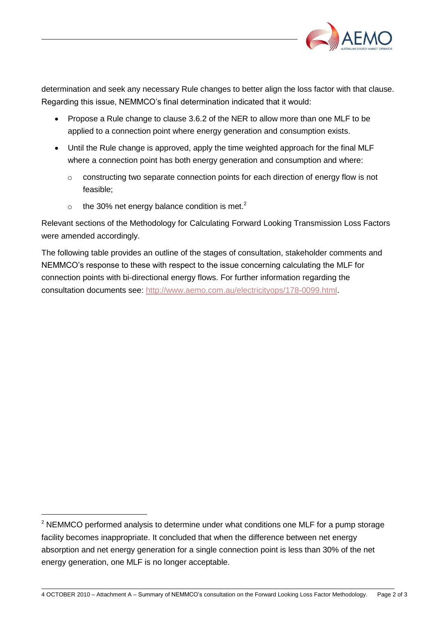

determination and seek any necessary Rule changes to better align the loss factor with that clause. Regarding this issue, NEMMCO's final determination indicated that it would:

- Propose a Rule change to clause 3.6.2 of the NER to allow more than one MLF to be applied to a connection point where energy generation and consumption exists.
- Until the Rule change is approved, apply the time weighted approach for the final MLF where a connection point has both energy generation and consumption and where:
	- o constructing two separate connection points for each direction of energy flow is not feasible;
	- $\circ$  the 30% net energy balance condition is met.<sup>2</sup>

-

Relevant sections of the Methodology for Calculating Forward Looking Transmission Loss Factors were amended accordingly.

The following table provides an outline of the stages of consultation, stakeholder comments and NEMMCO's response to these with respect to the issue concerning calculating the MLF for connection points with bi-directional energy flows. For further information regarding the consultation documents see: [http://www.aemo.com.au/electricityops/178-0099.html.](http://www.aemo.com.au/electricityops/178-0099.html)

 $2$  NEMMCO performed analysis to determine under what conditions one MLF for a pump storage facility becomes inappropriate. It concluded that when the difference between net energy absorption and net energy generation for a single connection point is less than 30% of the net energy generation, one MLF is no longer acceptable.